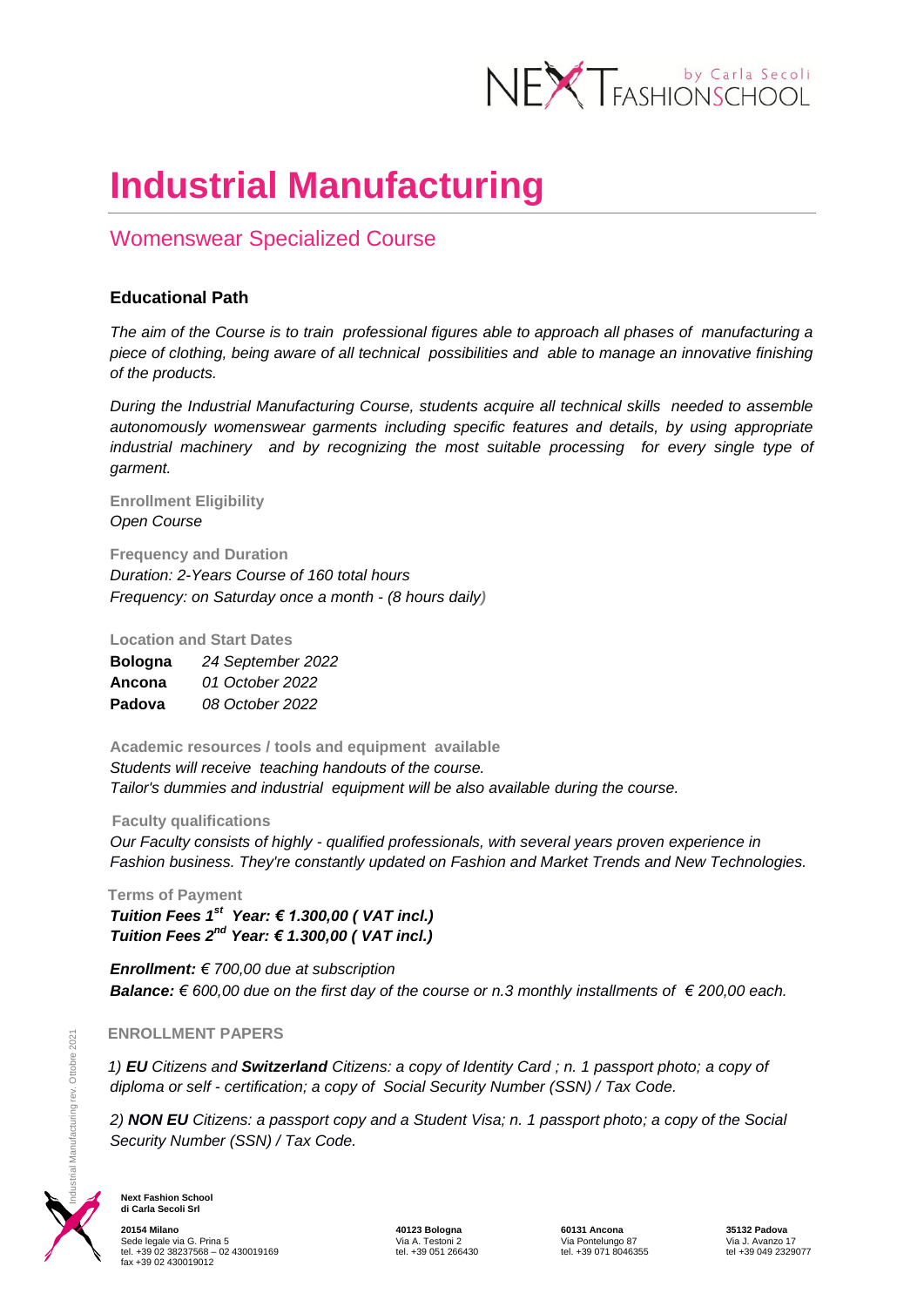

# **Industrial Manufacturing**

## Womenswear Specialized Course

### **Educational Path**

*The aim of the Course is to train professional figures able to approach all phases of manufacturing a piece of clothing, being aware of all technical possibilities and able to manage an innovative finishing of the products.*

*During the Industrial Manufacturing Course, students acquire all technical skills needed to assemble autonomously womenswear garments including specific features and details, by using appropriate industrial machinery and by recognizing the most suitable processing for every single type of garment.* 

#### **Enrollment Eligibility**  *Open Course*

**Frequency and Duration** *Duration: 2-Years Course of 160 total hours Frequency: on Saturday once a month - (8 hours daily)* 

**Location and Start Dates**

| <b>Bologna</b> | 24 September 2022 |
|----------------|-------------------|
| Ancona         | 01 October 2022   |
| Padova         | 08 October 2022   |

**Academic resources / tools and equipment available**  *Students will receive teaching handouts of the course. Tailor's dummies and industrial equipment will be also available during the course.*

#### **Faculty qualifications**

*Our Faculty consists of highly - qualified professionals, with several years proven experience in Fashion business. They're constantly updated on Fashion and Market Trends and New Technologies.* 

 **Terms of Payment**  *Tuition Fees 1st Year: € 1.300,00 ( VAT incl.) Tuition Fees 2nd Year: € 1.300,00 ( VAT incl.)* 

*Enrollment: € 700,00 due at subscription Balance: € 600,00 due on the first day of the course or n.3 monthly installments of € 200,00 each.*

 *1) EU Citizens and Switzerland Citizens: a copy of Identity Card ; n. 1 passport photo; a copy of diploma or self - certification; a copy of Social Security Number (SSN) / Tax Code.*

**ENROLLMENT PAPERS**<br> **2) EU** Citizens and **Switze**<br>
diploma or self - certificat<br>
2) **NON EU** Citizens: a pa<br>
Security Number (SSN) / *2) NON EU Citizens: a passport copy and a Student Visa; n. 1 passport photo; a copy of the Social Security Number (SSN) / Tax Code.*



**Next Fashion School di Carla Secoli Srl**

**20154 Milano 40123 Bologna 60131 Ancona 35132 Padova** Sede legale via G. Prina 5 Via A. Testoni 2 Via Pontelungo 87 Via J. Avanzo 17 tel. +39 02 38237568 – 02 430019169 tel. +39 051 266430 tel. +39 071 8046355 tel +39 049 2329077 fax +39 02 430019012